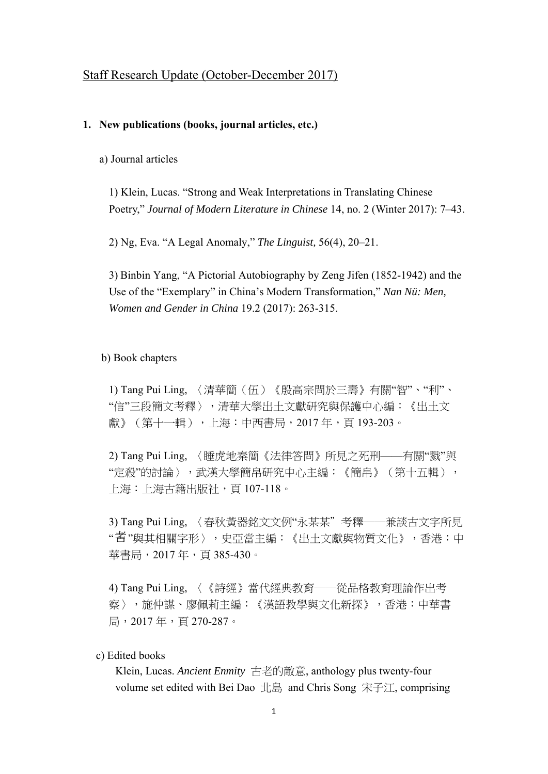### Staff Research Update (October-December 2017)

#### **1. New publications (books, journal articles, etc.)**

a) Journal articles

1) Klein, Lucas. "Strong and Weak Interpretations in Translating Chinese Poetry," *Journal of Modern Literature in Chinese* 14, no. 2 (Winter 2017): 7–43.

2) Ng, Eva. "A Legal Anomaly," *The Linguist,* 56(4), 20–21.

3) Binbin Yang, "A Pictorial Autobiography by Zeng Jifen (1852-1942) and the Use of the "Exemplary" in China's Modern Transformation," *Nan Nü: Men, Women and Gender in China* 19.2 (2017): 263-315.

b) Book chapters

1) Tang Pui Ling, 〈清華簡(伍)《殷高宗問於三壽》有關"智"、"利"、 "信"三段簡文考釋〉,清華大學出土文獻研究與保護中心編:《出土文 獻》(第十一輯),上海:中西書局,2017 年,頁 193-203。

2) Tang Pui Ling, 〈睡虎地秦簡《法律答問》所見之死刑——有關"戮"與 "定殺"的討論〉,武漢大學簡帛研究中心主編:《簡帛》(第十五輯), 上海:上海古籍出版社,頁 107-118。

3) Tang Pui Ling, 〈春秋黃器銘文文例"永某某"考釋──兼談古文字所見 " 者 "與其相關字形 〉,史亞當主編:《出土文獻與物質文化 》,香港:中 華書局, 2017年, 頁385-430。

4) Tang Pui Ling, 〈《詩經》當代經典教育──從品格教育理論作出考 察〉,施仲謀、廖佩莉主編:《漢語教學與文化新探》,香港:中華書 局,2017 年,頁 270-287。

c) Edited books

Klein, Lucas. *Ancient Enmity* 古老的敵意, anthology plus twenty-four volume set edited with Bei Dao 北島 and Chris Song 宋子江, comprising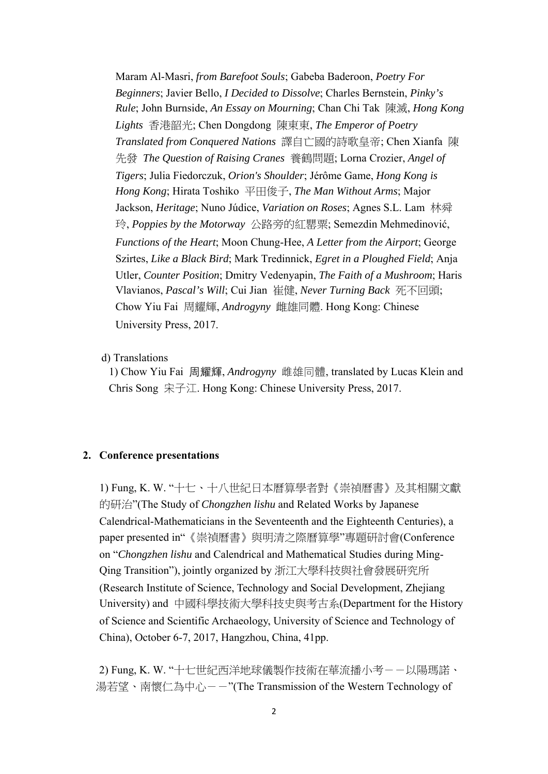Maram Al-Masri, *from Barefoot Souls*; Gabeba Baderoon, *Poetry For Beginners*; Javier Bello, *I Decided to Dissolve*; Charles Bernstein, *Pinky's Rule*; John Burnside, *An Essay on Mourning*; Chan Chi Tak 陳滅, *Hong Kong Lights* 香港韶光; Chen Dongdong 陳東東, *The Emperor of Poetry Translated from Conquered Nations* 譯自亡國的詩歌皇帝; Chen Xianfa 陳 先發 *The Question of Raising Cranes* 養鶴問題; Lorna Crozier, *Angel of Tigers*; Julia Fiedorczuk, *Orion's Shoulder*; Jérôme Game, *Hong Kong is Hong Kong*; Hirata Toshiko 平田俊子, *The Man Without Arms*; Major Jackson, *Heritage*; Nuno Júdice, *Variation on Roses*; Agnes S.L. Lam 林舜 玲, *Poppies by the Motorway* 公路旁的紅罌粟; Semezdin Mehmedinović, *Functions of the Heart*; Moon Chung-Hee, *A Letter from the Airport*; George Szirtes, *Like a Black Bird*; Mark Tredinnick, *Egret in a Ploughed Field*; Anja Utler, *Counter Position*; Dmitry Vedenyapin, *The Faith of a Mushroom*; Haris Vlavianos, *Pascal's Will*; Cui Jian 崔健, *Never Turning Back* 死不回頭; Chow Yiu Fai 周耀輝, *Androgyny* 雌雄同體. Hong Kong: Chinese University Press, 2017.

d) Translations

1) Chow Yiu Fai 周耀輝, *Androgyny* 雌雄同體, translated by Lucas Klein and Chris Song 宋子江. Hong Kong: Chinese University Press, 2017.

### **2. Conference presentations**

1) Fung, K. W. "十七、十八世紀日本曆算學者對《崇禎曆書》及其相關文獻 的研治"(The Study of *Chongzhen lishu* and Related Works by Japanese Calendrical-Mathematicians in the Seventeenth and the Eighteenth Centuries), a paper presented in"《崇禎曆書》與明清之際曆算學"專題研討會(Conference on "*Chongzhen lishu* and Calendrical and Mathematical Studies during Ming-Qing Transition"), jointly organized by 浙江大學科技與社會發展研究所 (Research Institute of Science, Technology and Social Development, Zhejiang University) and 中國科學技術大學科技史與考古系(Department for the History of Science and Scientific Archaeology, University of Science and Technology of China), October 6-7, 2017, Hangzhou, China, 41pp.

2) Fung, K. W. "十七世紀西洋地球儀製作技術在華流播小考--以陽瑪諾、 湯若望、南懷仁為中心--"(The Transmission of the Western Technology of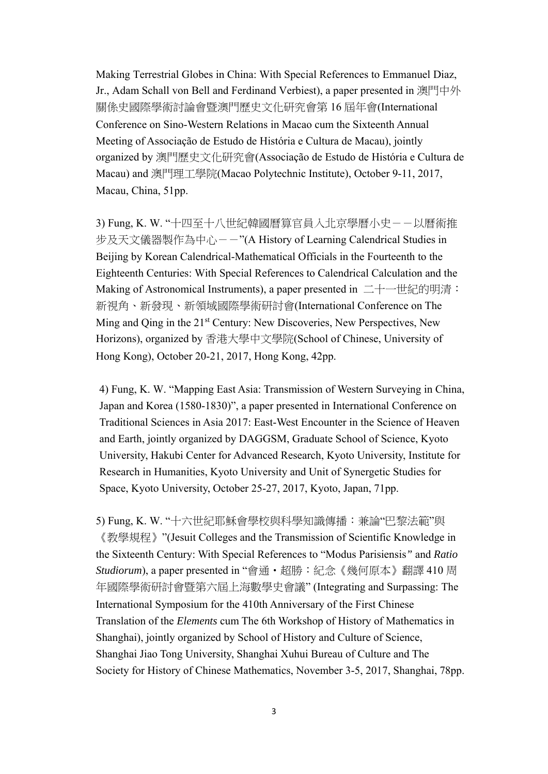Making Terrestrial Globes in China: With Special References to Emmanuel Diaz, Jr., Adam Schall von Bell and Ferdinand Verbiest), a paper presented in 澳門中外 關係史國際學術討論會暨澳門歷史文化研究會第 16 屆年會(International Conference on Sino-Western Relations in Macao cum the Sixteenth Annual Meeting of Associação de Estudo de História e Cultura de Macau), jointly organized by 澳門歷史文化研究會(Associação de Estudo de História e Cultura de Macau) and 澳門理工學院(Macao Polytechnic Institute), October 9-11, 2017, Macau, China, 51pp.

3) Fung, K. W. "十四至十八世紀韓國曆算官員入北京學曆小史--以曆術推 步及天文儀器製作為中心--"(A History of Learning Calendrical Studies in Beijing by Korean Calendrical-Mathematical Officials in the Fourteenth to the Eighteenth Centuries: With Special References to Calendrical Calculation and the Making of Astronomical Instruments), a paper presented in 二十一世紀的明清: 新視角、新發現、新領域國際學術研討會(International Conference on The Ming and Qing in the 21<sup>st</sup> Century: New Discoveries, New Perspectives, New Horizons), organized by 香港大學中文學院(School of Chinese, University of Hong Kong), October 20-21, 2017, Hong Kong, 42pp.

4) Fung, K. W. "Mapping East Asia: Transmission of Western Surveying in China, Japan and Korea (1580-1830)", a paper presented in International Conference on Traditional Sciences in Asia 2017: East-West Encounter in the Science of Heaven and Earth, jointly organized by DAGGSM, Graduate School of Science, Kyoto University, Hakubi Center for Advanced Research, Kyoto University, Institute for Research in Humanities, Kyoto University and Unit of Synergetic Studies for Space, Kyoto University, October 25-27, 2017, Kyoto, Japan, 71pp.

5) Fung, K. W. "十六世紀耶穌會學校與科學知識傳播:兼論"巴黎法範"與 《教學規程》"(Jesuit Colleges and the Transmission of Scientific Knowledge in the Sixteenth Century: With Special References to "Modus Parisiensis*"* and *Ratio Studiorum*), a paper presented in "會通‧超勝:紀念《幾何原本》翻譯 410 周 年國際學術研討會暨第六屆上海數學史會議" (Integrating and Surpassing: The International Symposium for the 410th Anniversary of the First Chinese Translation of the *Elements* cum The 6th Workshop of History of Mathematics in Shanghai), jointly organized by School of History and Culture of Science, Shanghai Jiao Tong University, Shanghai Xuhui Bureau of Culture and The Society for History of Chinese Mathematics, November 3-5, 2017, Shanghai, 78pp.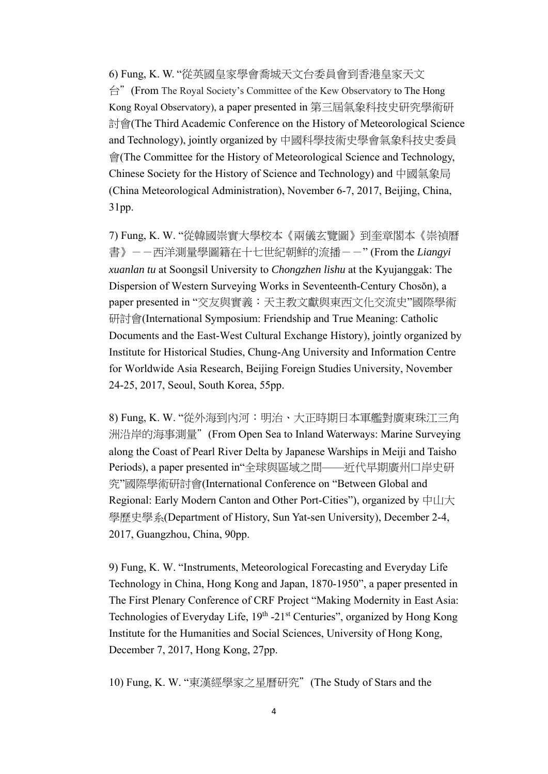6) Fung, K. W. "從英國皇家學會喬城天文台委員會到香港皇家天文 台"(From The Royal Society's Committee of the Kew Observatory to The Hong Kong Royal Observatory), a paper presented in 第三屆氣象科技史研究學術研 討會(The Third Academic Conference on the History of Meteorological Science and Technology), jointly organized by 中國科學技術史學會氣象科技史委員 會(The Committee for the History of Meteorological Science and Technology, Chinese Society for the History of Science and Technology) and 中國氣象局 (China Meteorological Administration), November 6-7, 2017, Beijing, China, 31pp.

7) Fung, K. W. "從韓國崇實大學校本《兩儀玄覽圖》到奎章閣本《崇禎曆 書》--西洋測量學圖籍在十七世紀朝鮮的流播--" (From the *Liangyi xuanlan tu* at Soongsil University to *Chongzhen lishu* at the Kyujanggak: The Dispersion of Western Surveying Works in Seventeenth-Century Chosŏn), a paper presented in "交友與實義:天主教文獻與東西文化交流史"國際學術 研討會(International Symposium: Friendship and True Meaning: Catholic Documents and the East-West Cultural Exchange History), jointly organized by Institute for Historical Studies, Chung-Ang University and Information Centre for Worldwide Asia Research, Beijing Foreign Studies University, November 24-25, 2017, Seoul, South Korea, 55pp.

8) Fung, K. W. "從外海到內河:明治、大正時期日本軍艦對廣東珠江三角 洲沿岸的海事測量"(From Open Sea to Inland Waterways: Marine Surveying along the Coast of Pearl River Delta by Japanese Warships in Meiji and Taisho Periods), a paper presented in"全球與區域之間——近代早期廣州口岸史研 究"國際學術研討會(International Conference on "Between Global and Regional: Early Modern Canton and Other Port-Cities"), organized by  $\pm$ uli $\pm$ 學歷史學系(Department of History, Sun Yat-sen University), December 2-4, 2017, Guangzhou, China, 90pp.

9) Fung, K. W. "Instruments, Meteorological Forecasting and Everyday Life Technology in China, Hong Kong and Japan, 1870-1950", a paper presented in The First Plenary Conference of CRF Project "Making Modernity in East Asia: Technologies of Everyday Life, 19<sup>th</sup> -21<sup>st</sup> Centuries", organized by Hong Kong Institute for the Humanities and Social Sciences, University of Hong Kong, December 7, 2017, Hong Kong, 27pp.

10) Fung, K. W. "東漢經學家之星曆研究"(The Study of Stars and the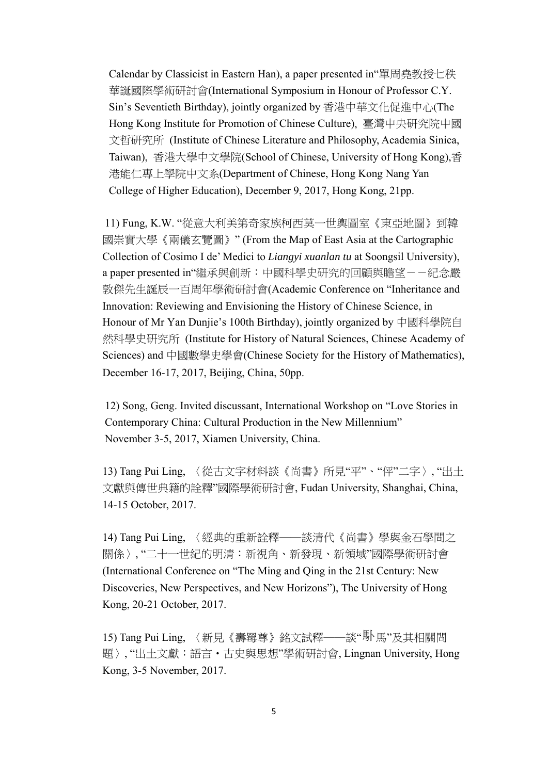Calendar by Classicist in Eastern Han), a paper presented in"單周堯教授七秩 華誕國際學術研討會(International Symposium in Honour of Professor C.Y. Sin's Seventieth Birthday), jointly organized by 香港中華文化促進中心(The Hong Kong Institute for Promotion of Chinese Culture), 臺灣中央研究院中國 文哲研究所 (Institute of Chinese Literature and Philosophy, Academia Sinica, Taiwan), 香港大學中文學院(School of Chinese, University of Hong Kong),香 港能仁專上學院中文系(Department of Chinese, Hong Kong Nang Yan College of Higher Education), December 9, 2017, Hong Kong, 21pp.

11) Fung, K.W. "從意大利美第奇家族柯西莫一世輿圖室《東亞地圖》到韓 國崇實大學《兩儀玄覽圖》" (From the Map of East Asia at the Cartographic Collection of Cosimo I de' Medici to *Liangyi xuanlan tu* at Soongsil University), a paper presented in"繼承與創新:中國科學史研究的回顧與瞻望--紀念嚴 敦傑先生誕辰一百周年學術研討會(Academic Conference on "Inheritance and Innovation: Reviewing and Envisioning the History of Chinese Science, in Honour of Mr Yan Dunjie's 100th Birthday), jointly organized by 中國科學院自 然科學史研究所 (Institute for History of Natural Sciences, Chinese Academy of Sciences) and 中國數學史學會(Chinese Society for the History of Mathematics), December 16-17, 2017, Beijing, China, 50pp.

12) Song, Geng. Invited discussant, International Workshop on "Love Stories in Contemporary China: Cultural Production in the New Millennium" November 3-5, 2017, Xiamen University, China.

13) Tang Pui Ling, 〈從古文字材料談《尚書》所見"平"、"伻"二字〉, "出土 文獻與傳世典籍的詮釋"國際學術研討會, Fudan University, Shanghai, China, 14-15 October, 2017.

14) Tang Pui Ling, 〈經典的重新詮釋──談清代《尚書》學與金石學間之 關係〉, "二十一世紀的明清:新視角、新發現、新領域"國際學術研討會 (International Conference on "The Ming and Qing in the 21st Century: New Discoveries, New Perspectives, and New Horizons"), The University of Hong Kong, 20-21 October, 2017.

15) Tang Pui Ling, 〈新見《壽霉尊》銘文試釋——談"<sup>馱</sup>馬"及其相關問 題〉, "出土文獻:語言‧古史與思想"學術研討會, Lingnan University, Hong Kong, 3-5 November, 2017.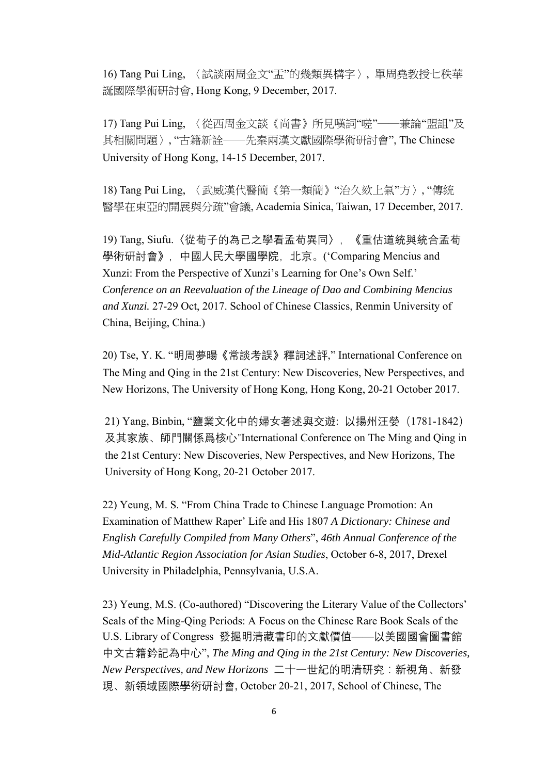16) Tang Pui Ling, 〈試談兩周金文"盂"的幾類異構字〉, 單周堯教授七秩華 誕國際學術研討會, Hong Kong, 9 December, 2017.

17) Tang Pui Ling, 〈從西周金文談《尚書》所見嘆詞"嗟"──兼論"盟詛"及 其相關問題〉, "古籍新詮——先秦兩漢文獻國際學術研討會", The Chinese University of Hong Kong, 14-15 December, 2017.

18) Tang Pui Ling, 〈武威漢代醫簡《第一類簡》"治久欬上氣"方〉, "傳統 醫學在東亞的開展與分疏"會議, Academia Sinica, Taiwan, 17 December, 2017.

19) Tang, Siufu.〈從荀子的為己之學看孟荀異同〉,《重估道統與統合孟荀 學術研討會》,中國人民大學國學院,北京。('Comparing Mencius and Xunzi: From the Perspective of Xunzi's Learning for One's Own Self.' *Conference on an Reevaluation of the Lineage of Dao and Combining Mencius and Xunzi.* 27-29 Oct, 2017. School of Chinese Classics, Renmin University of China, Beijing, China.)

20) Tse, Y. K. "明周夢暘《常談考誤》釋詞述評," International Conference on The Ming and Qing in the 21st Century: New Discoveries, New Perspectives, and New Horizons, The University of Hong Kong, Hong Kong, 20-21 October 2017.

21) Yang, Binbin, "鹽業文化中的婦女著述與交遊: 以揚州汪嫈(1781-1842) 及其家族、師門關係爲核心"International Conference on The Ming and Qing in the 21st Century: New Discoveries, New Perspectives, and New Horizons, The University of Hong Kong, 20-21 October 2017.

22) Yeung, M. S. "From China Trade to Chinese Language Promotion: An Examination of Matthew Raper' Life and His 1807 *A Dictionary: Chinese and English Carefully Compiled from Many Others*", *46th Annual Conference of the Mid-Atlantic Region Association for Asian Studies*, October 6-8, 2017, Drexel University in Philadelphia, Pennsylvania, U.S.A.

23) Yeung, M.S. (Co-authored) "Discovering the Literary Value of the Collectors' Seals of the Ming-Qing Periods: A Focus on the Chinese Rare Book Seals of the U.S. Library of Congress 發掘明清藏書印的文獻價值——以美國國會圖書館 中文古籍鈐記為中心", *The Ming and Qing in the 21st Century: New Discoveries, New Perspectives, and New Horizons* 二十一世紀的明清研究:新視角、新發 現、新領域國際學術研討會, October 20-21, 2017, School of Chinese, The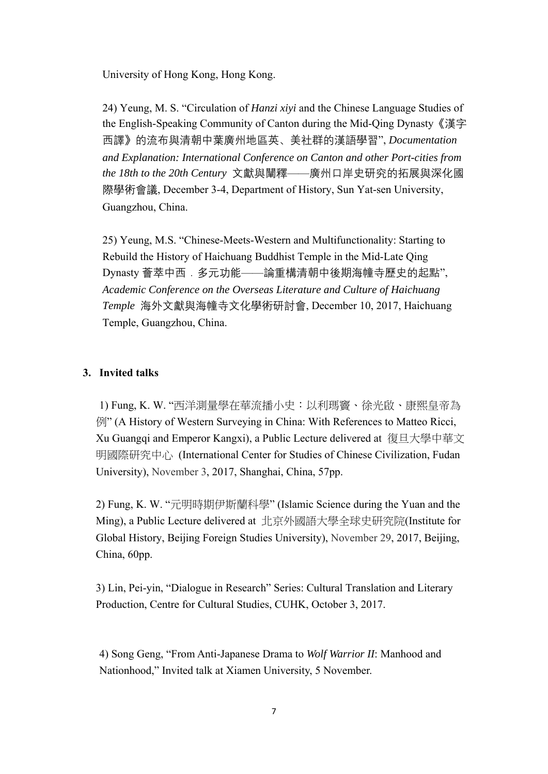University of Hong Kong, Hong Kong.

24) Yeung, M. S. "Circulation of *Hanzi xiyi* and the Chinese Language Studies of the English-Speaking Community of Canton during the Mid-Qing Dynasty《漢字 西譯》的流布與清朝中葉廣州地區英、美社群的漢語學習", *Documentation and Explanation: International Conference on Canton and other Port-cities from the 18th to the 20th Century* 文獻與闡釋——廣州口岸史研究的拓展與深化國 際學術會議, December 3-4, Department of History, Sun Yat-sen University, Guangzhou, China.

25) Yeung, M.S. "Chinese-Meets-Western and Multifunctionality: Starting to Rebuild the History of Haichuang Buddhist Temple in the Mid-Late Qing Dynasty 薈萃中西.多元功能——論重構清朝中後期海幢寺歷史的起點", *Academic Conference on the Overseas Literature and Culture of Haichuang Temple* 海外文獻與海幢寺文化學術研討會, December 10, 2017, Haichuang Temple, Guangzhou, China.

## **3. Invited talks**

1) Fung, K. W. "西洋測量學在華流播小史:以利瑪竇、徐光啟、康熙皇帝為 例" (A History of Western Surveying in China: With References to Matteo Ricci, Xu Guangqi and Emperor Kangxi), a Public Lecture delivered at 復旦大學中華文 明國際研究中心 (International Center for Studies of Chinese Civilization, Fudan University), November 3, 2017, Shanghai, China, 57pp.

2) Fung, K. W. "元明時期伊斯蘭科學" (Islamic Science during the Yuan and the Ming), a Public Lecture delivered at 北京外國語大學全球史研究院(Institute for Global History, Beijing Foreign Studies University), November 29, 2017, Beijing, China, 60pp.

3) Lin, Pei-yin, "Dialogue in Research" Series: Cultural Translation and Literary Production, Centre for Cultural Studies, CUHK, October 3, 2017.

4) Song Geng, "From Anti-Japanese Drama to *Wolf Warrior II*: Manhood and Nationhood," Invited talk at Xiamen University, 5 November.